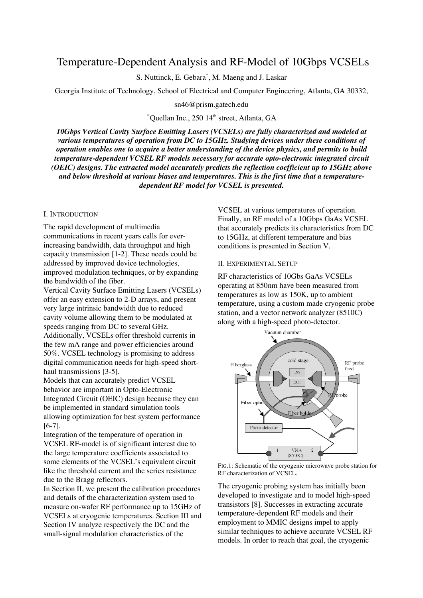# Temperature-Dependent Analysis and RF-Model of 10Gbps VCSELs

S. Nuttinck, E. Gebara\* , M. Maeng and J. Laskar

Georgia Institute of Technology, School of Electrical and Computer Engineering, Atlanta, GA 30332,

sn46@prism.gatech.edu

 $*$  Quellan Inc., 250  $14<sup>th</sup>$  street, Atlanta, GA

*10Gbps Vertical Cavity Surface Emitting Lasers (VCSELs) are fully characterized and modeled at various temperatures of operation from DC to 15GHz. Studying devices under these conditions of operation enables one to acquire a better understanding of the device physics, and permits to build temperature-dependent VCSEL RF models necessary for accurate opto-electronic integrated circuit (OEIC) designs. The extracted model accurately predicts the reflection coefficient up to 15GHz above and below threshold at various biases and temperatures. This is the first time that a temperaturedependent RF model for VCSEL is presented.*

### I. INTRODUCTION

The rapid development of multimedia communications in recent years calls for everincreasing bandwidth, data throughput and high capacity transmission [1-2]. These needs could be addressed by improved device technologies, improved modulation techniques, or by expanding the bandwidth of the fiber.

Vertical Cavity Surface Emitting Lasers (VCSELs) offer an easy extension to 2-D arrays, and present very large intrinsic bandwidth due to reduced cavity volume allowing them to be modulated at speeds ranging from DC to several GHz. Additionally, VCSELs offer threshold currents in

the few mA range and power efficiencies around 50%. VCSEL technology is promising to address digital communication needs for high-speed shorthaul transmissions [3-5].

Models that can accurately predict VCSEL behavior are important in Opto-Electronic Integrated Circuit (OEIC) design because they can be implemented in standard simulation tools allowing optimization for best system performance [6-7].

Integration of the temperature of operation in VCSEL RF-model is of significant interest due to the large temperature coefficients associated to some elements of the VCSEL's equivalent circuit like the threshold current and the series resistance due to the Bragg reflectors.

In Section II, we present the calibration procedures and details of the characterization system used to measure on-wafer RF performance up to 15GHz of VCSELs at cryogenic temperatures. Section III and Section IV analyze respectively the DC and the small-signal modulation characteristics of the

VCSEL at various temperatures of operation. Finally, an RF model of a 10Gbps GaAs VCSEL that accurately predicts its characteristics from DC to 15GHz, at different temperature and bias conditions is presented in Section V.

### II. EXPERIMENTAL SETUP

RF characteristics of 10Gbs GaAs VCSELs operating at 850nm have been measured from temperatures as low as 150K, up to ambient temperature, using a custom made cryogenic probe station, and a vector network analyzer (8510C) along with a high-speed photo-detector.



FIG.1: Schematic of the cryogenic microwave probe station for RF characterization of VCSEL.

The cryogenic probing system has initially been developed to investigate and to model high-speed transistors [8]. Successes in extracting accurate temperature-dependent RF models and their employment to MMIC designs impel to apply similar techniques to achieve accurate VCSEL RF models. In order to reach that goal, the cryogenic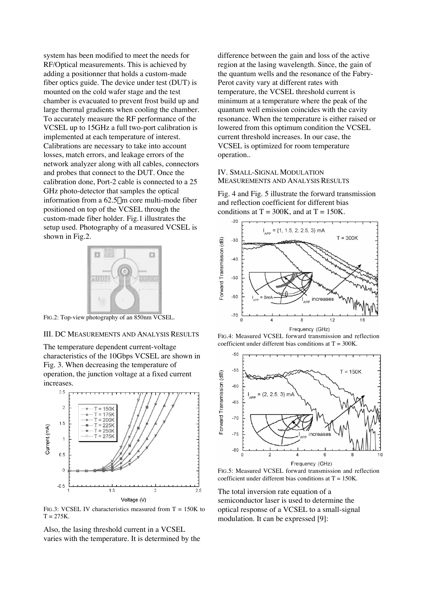system has been modified to meet the needs for RF/Optical measurements. This is achieved by adding a positionner that holds a custom-made fiber optics guide. The device under test (DUT) is mounted on the cold wafer stage and the test chamber is evacuated to prevent frost build up and large thermal gradients when cooling the chamber. To accurately measure the RF performance of the VCSEL up to 15GHz a full two-port calibration is implemented at each temperature of interest. Calibrations are necessary to take into account losses, match errors, and leakage errors of the network analyzer along with all cables, connectors and probes that connect to the DUT. Once the calibration done, Port-2 cable is connected to a 25 GHz photo-detector that samples the optical information from a  $62.5\mu$ m core multi-mode fiber positioned on top of the VCSEL through the custom-made fiber holder. Fig.1 illustrates the setup used. Photography of a measured VCSEL is shown in Fig.2.



FIG.2: Top-view photography of an 850nm VCSEL.

#### III. DC MEASUREMENTS AND ANALYSIS RESULTS

The temperature dependent current-voltage characteristics of the 10Gbps VCSEL are shown in Fig. 3. When decreasing the temperature of operation, the junction voltage at a fixed current increases.



FIG.3: VCSEL IV characteristics measured from  $T = 150K$  to  $T = 275K$ .

Also, the lasing threshold current in a VCSEL varies with the temperature. It is determined by the difference between the gain and loss of the active region at the lasing wavelength. Since, the gain of the quantum wells and the resonance of the Fabry-Perot cavity vary at different rates with temperature, the VCSEL threshold current is minimum at a temperature where the peak of the quantum well emission coincides with the cavity resonance. When the temperature is either raised or lowered from this optimum condition the VCSEL current threshold increases. In our case, the VCSEL is optimized for room temperature operation..

## IV. SMALL-SIGNAL MODULATION MEASUREMENTS AND ANALYSIS RESULTS

Fig. 4 and Fig. 5 illustrate the forward transmission and reflection coefficient for different bias conditions at  $T = 300K$ , and at  $T = 150K$ .



FIG.4: Measured VCSEL forward transmission and reflection coefficient under different bias conditions at  $T = 300K$ .



FIG.5: Measured VCSEL forward transmission and reflection coefficient under different bias conditions at  $T = 150K$ .

The total inversion rate equation of a semiconductor laser is used to determine the optical response of a VCSEL to a small-signal modulation. It can be expressed [9]: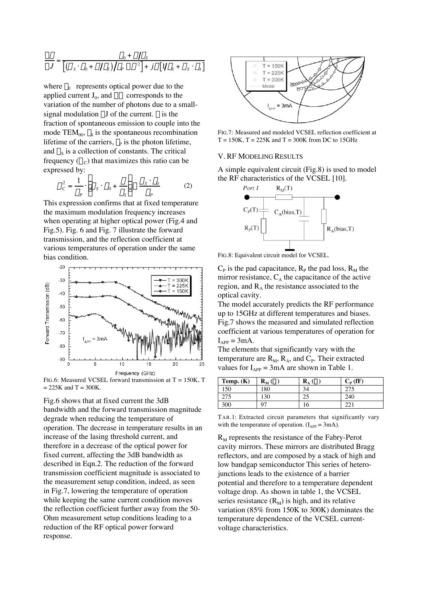$$
\frac{\Delta \phi}{\Delta J} = \frac{\phi_0 + \beta/\tau_s}{\left[ (\sigma_s \cdot \phi_0 + \beta/\tau_s)/\tau_P - \omega^2 \right] + j\omega \left[ \psi \tau_s + \sigma_s \cdot \phi_0 \right]}
$$

where  $\phi_0$  represents optical power due to the applied current  $J_0$ , and  $\Delta\phi$  corresponds to the variation of the number of photons due to a smallsignal modulation  $\Delta J$  of the current.  $\beta$  is the fraction of spontaneous emission to couple into the mode TEM $_{00}$ ,  $\tau_s$  is the spontaneous recombination lifetime of the carriers,  $\tau_{P}$  is the photon lifetime, and  $\sigma_s$  is a collection of constants. The critical frequency  $(\omega_C)$  that maximizes this ratio can be expressed by:

$$
\omega_C^2 = \frac{1}{\tau_P} \cdot \left( \sigma_S \cdot \phi_0 + \frac{\beta}{\tau_S} \right) \approx \frac{\sigma_S \cdot \phi_0}{\tau_P} \tag{2}
$$

This expression confirms that at fixed temperature the maximum modulation frequency increases when operating at higher optical power (Fig.4 and Fig.5). Fig. 6 and Fig. 7 illustrate the forward transmission, and the reflection coefficient at various temperatures of operation under the same bias condition.



FIG.6: Measured VCSEL forward transmission at  $T = 150K$ , T  $= 225K$  and T = 300K.

Fig.6 shows that at fixed current the 3dB bandwidth and the forward transmission magnitude degrade when reducing the temperature of operation. The decrease in temperature results in an increase of the lasing threshold current, and therefore in a decrease of the optical power for fixed current, affecting the 3dB bandwidth as described in Eqn.2. The reduction of the forward transmission coefficient magnitude is associated to the measurement setup condition, indeed, as seen in Fig.7, lowering the temperature of operation while keeping the same current condition moves the reflection coefficient further away from the 50- Ohm measurement setup conditions leading to a reduction of the RF optical power forward response.



FIG.7: Measured and modeled VCSEL reflection coefficient at  $T = 150K$ ,  $T = 225K$  and  $T = 300K$  from DC to 15GHz

### V. RF MODELING RESULTS

A simple equivalent circuit (Fig.8) is used to model the RF characteristics of the VCSEL [10].



FIG.8: Equivalent circuit model for VCSEL.

 $C_P$  is the pad capacitance,  $R_P$  the pad loss,  $R_M$  the mirror resistance,  $C_A$  the capacitance of the active region, and  $R_A$  the resistance associated to the optical cavity.

The model accurately predicts the RF performance up to 15GHz at different temperatures and biases. Fig.7 shows the measured and simulated reflection coefficient at various temperatures of operation for  $I_{APP} = 3mA$ .

The elements that significantly vary with the temperature are  $R_M$ ,  $R_A$ , and  $C_P$ . Their extracted values for  $I_{APP} = 3mA$  are shown in Table 1.

| Temp. $(K)$ | $R_{M}(\Omega)$ | $\mathbf{R}_{\text{A}}\left(\mathbf{\Omega}\right)$ | $C_{\rm p}$ (fF) |
|-------------|-----------------|-----------------------------------------------------|------------------|
| 50ء         | 180             | 34                                                  | 27:              |
| .75         | 30              | ر ے                                                 | 240              |
| 300         | $O^{\pi}$       | 10                                                  |                  |

TAB.1: Extracted circuit parameters that significantly vary with the temperature of operation.  $(I_{\text{app}} = 3 \text{ mA})$ .

 $R_M$  represents the resistance of the Fabry-Perot cavity mirrors. These mirrors are distributed Bragg reflectors, and are composed by a stack of high and low bandgap semiconductor This series of heterojunctions leads to the existence of a barrier potential and therefore to a temperature dependent voltage drop. As shown in table 1, the VCSEL series resistance  $(R_M)$  is high, and its relative variation (85% from 150K to 300K) dominates the temperature dependence of the VCSEL currentvoltage characteristics.